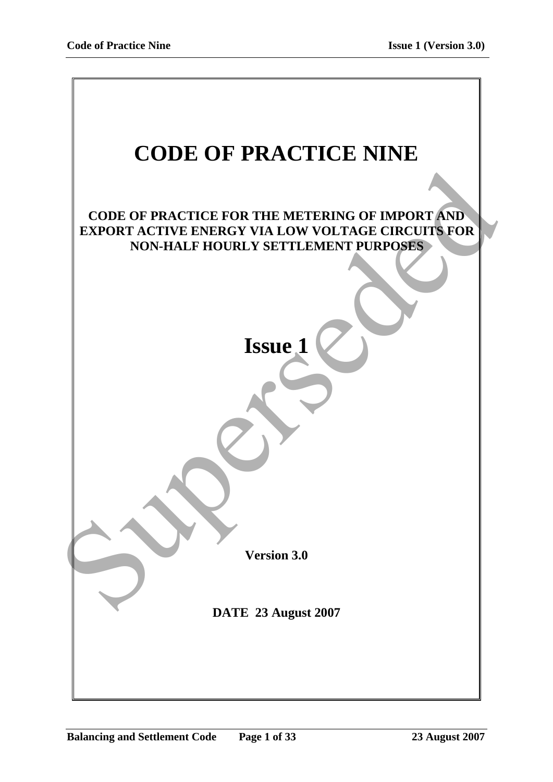| <b>CODE OF PRACTICE NINE</b>                                                                                       |
|--------------------------------------------------------------------------------------------------------------------|
|                                                                                                                    |
|                                                                                                                    |
| <b>CODE OF PRACTICE FOR THE METERING OF IMPORT AND</b><br><b>EXPORT ACTIVE ENERGY VIA LOW VOLTAGE CIRCUITS FOR</b> |
| NON-HALF HOURLY SETTLEMENT PURPOSES                                                                                |
|                                                                                                                    |
|                                                                                                                    |
|                                                                                                                    |
| <b>Issue 1</b>                                                                                                     |
|                                                                                                                    |
|                                                                                                                    |
|                                                                                                                    |
|                                                                                                                    |
|                                                                                                                    |
|                                                                                                                    |
|                                                                                                                    |
|                                                                                                                    |
| <b>Version 3.0</b>                                                                                                 |
|                                                                                                                    |
| DATE 23 August 2007                                                                                                |
|                                                                                                                    |
|                                                                                                                    |
|                                                                                                                    |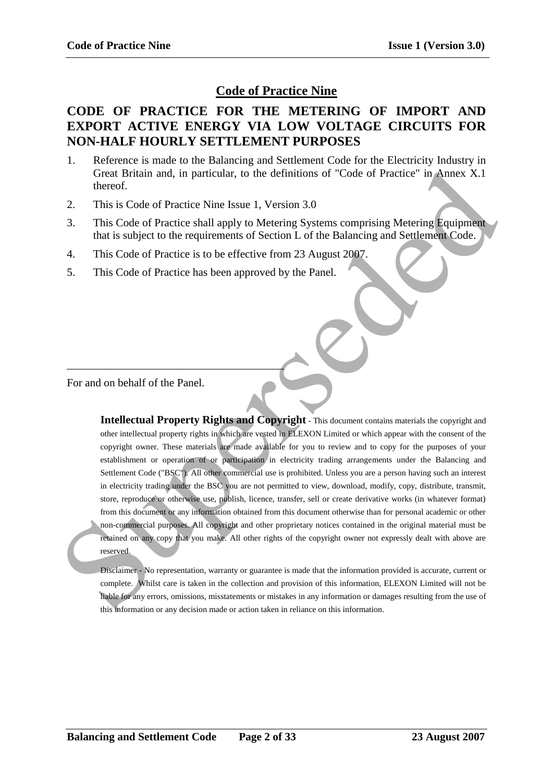# **Code of Practice Nine**

## **CODE OF PRACTICE FOR THE METERING OF IMPORT AND EXPORT ACTIVE ENERGY VIA LOW VOLTAGE CIRCUITS FOR NON-HALF HOURLY SETTLEMENT PURPOSES**

- 1. Reference is made to the Balancing and Settlement Code for the Electricity Industry in Great Britain and, in particular, to the definitions of "Code of Practice" in Annex X.1 thereof.
- 2. This is Code of Practice Nine Issue 1, Version 3.0
- 3. This Code of Practice shall apply to Metering Systems comprising Metering Equipment that is subject to the requirements of Section L of the Balancing and Settlement Code.
- 4. This Code of Practice is to be effective from 23 August 2007.
- 5. This Code of Practice has been approved by the Panel.

For and on behalf of the Panel.

\_\_\_\_\_\_\_\_\_\_\_\_\_\_\_\_\_\_\_\_\_\_\_\_\_\_\_\_\_\_\_\_\_\_\_\_\_\_\_

**Intellectual Property Rights and Copyright** - This document contains materials the copyright and other intellectual property rights in which are vested in ELEXON Limited or which appear with the consent of the copyright owner. These materials are made available for you to review and to copy for the purposes of your establishment or operation of or participation in electricity trading arrangements under the Balancing and Settlement Code ("BSC"). All other commercial use is prohibited. Unless you are a person having such an interest in electricity trading under the BSC you are not permitted to view, download, modify, copy, distribute, transmit, store, reproduce or otherwise use, publish, licence, transfer, sell or create derivative works (in whatever format) from this document or any information obtained from this document otherwise than for personal academic or other non-commercial purposes. All copyright and other proprietary notices contained in the original material must be retained on any copy that you make. All other rights of the copyright owner not expressly dealt with above are reserved. Create Britain and, in particular, to the definitions of "Code of Practice" in Annex X.1<br>
This is Code of Practice Shall apply to Metering Systems comprising Metering Equipment<br>
3. This Code of Practice Shall apply to Met

Disclaimer - No representation, warranty or guarantee is made that the information provided is accurate, current or complete. Whilst care is taken in the collection and provision of this information, ELEXON Limited will not be liable for any errors, omissions, misstatements or mistakes in any information or damages resulting from the use of this information or any decision made or action taken in reliance on this information.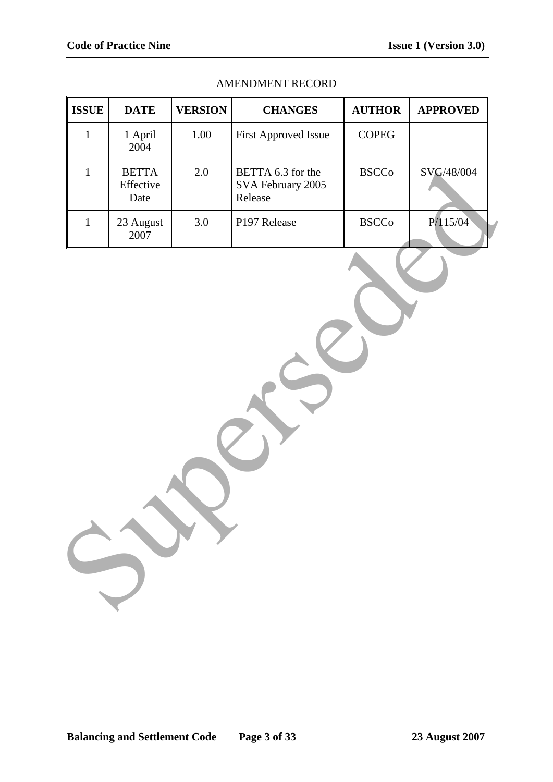| <b>ISSUE</b> | <b>DATE</b>                       | <b>VERSION</b> | <b>CHANGES</b>                                    | <b>AUTHOR</b> | <b>APPROVED</b> |
|--------------|-----------------------------------|----------------|---------------------------------------------------|---------------|-----------------|
| $\mathbf{1}$ | 1 April<br>2004                   | 1.00           | First Approved Issue                              | <b>COPEG</b>  |                 |
| $\mathbf{1}$ | <b>BETTA</b><br>Effective<br>Date | 2.0            | BETTA 6.3 for the<br>SVA February 2005<br>Release | <b>BSCCo</b>  | SVG/48/004      |
| $\mathbf 1$  | 23 August<br>2007                 | 3.0            | P197 Release                                      | <b>BSCCo</b>  | P/115/04        |
|              |                                   |                |                                                   |               |                 |

## AMENDMENT RECORD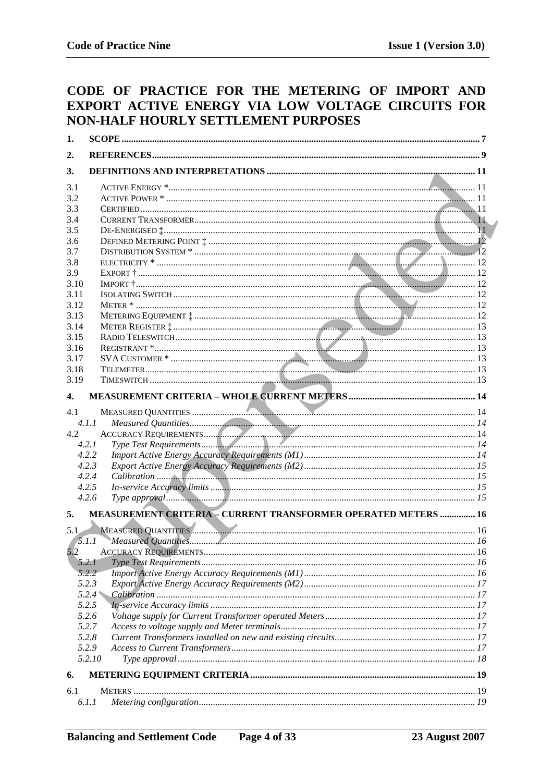# CODE OF PRACTICE FOR THE METERING OF IMPORT AND EXPORT ACTIVE ENERGY VIA LOW VOLTAGE CIRCUITS FOR NON-HALF HOURLY SETTLEMENT PURPOSES

| 1.           |        |                                                                       |  |  |
|--------------|--------|-----------------------------------------------------------------------|--|--|
| 2.           |        |                                                                       |  |  |
| 3.           |        |                                                                       |  |  |
| 3.1          |        |                                                                       |  |  |
| 3.2          |        |                                                                       |  |  |
| 3.3          |        |                                                                       |  |  |
| 3.4          |        |                                                                       |  |  |
| 3.5          |        |                                                                       |  |  |
| 3.6          |        |                                                                       |  |  |
| 3.7          |        |                                                                       |  |  |
| 3.8          |        |                                                                       |  |  |
| 3.9<br>3.10  |        |                                                                       |  |  |
| 3.11         |        |                                                                       |  |  |
| 3.12         |        |                                                                       |  |  |
| 3.13         |        |                                                                       |  |  |
| 3.14         |        |                                                                       |  |  |
| 3.15         |        |                                                                       |  |  |
| 3.16         |        |                                                                       |  |  |
| 3.17         |        |                                                                       |  |  |
| 3.18         |        |                                                                       |  |  |
| 3.19         |        |                                                                       |  |  |
| $\mathbf{4}$ |        |                                                                       |  |  |
| 4.1          |        |                                                                       |  |  |
|              | 4.1.1  |                                                                       |  |  |
| 4.2          |        |                                                                       |  |  |
|              | 4.2.1  |                                                                       |  |  |
|              | 4.2.2  |                                                                       |  |  |
|              | 4.2.3  |                                                                       |  |  |
|              | 4.2.4  |                                                                       |  |  |
|              | 4.2.5  |                                                                       |  |  |
|              | 4.2.6  |                                                                       |  |  |
| 5.           |        | <b>MEASUREMENT CRITERIA - CURRENT TRANSFORMER OPERATED METERS  16</b> |  |  |
| 5.1          |        |                                                                       |  |  |
|              | 5.1.1  |                                                                       |  |  |
| 5.2          |        |                                                                       |  |  |
|              | 5.2.1  |                                                                       |  |  |
|              | 5.2.2  |                                                                       |  |  |
|              | 5.2.3  |                                                                       |  |  |
|              | 5.2.4  |                                                                       |  |  |
|              | 5.2.5  |                                                                       |  |  |
|              | 5.2.6  |                                                                       |  |  |
|              | 5.2.7  |                                                                       |  |  |
|              | 5.2.8  |                                                                       |  |  |
|              |        |                                                                       |  |  |
| 5.2.9        |        |                                                                       |  |  |
|              | 5.2.10 |                                                                       |  |  |
| 6.           |        |                                                                       |  |  |
| 6.1          |        |                                                                       |  |  |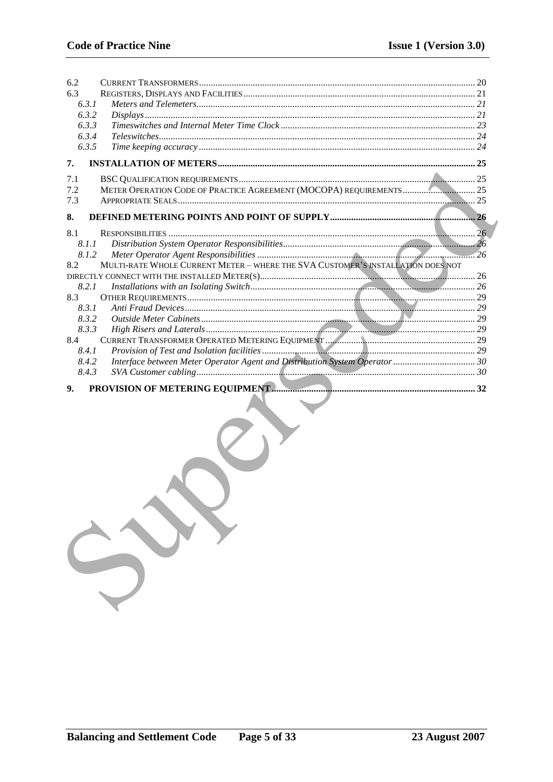| 6.2   |                                                                                 |  |
|-------|---------------------------------------------------------------------------------|--|
| 6.3   |                                                                                 |  |
| 6.3.1 |                                                                                 |  |
| 6.3.2 | Displays 21                                                                     |  |
| 6.3.3 |                                                                                 |  |
| 6.3.4 |                                                                                 |  |
| 6.3.5 |                                                                                 |  |
| 7.    |                                                                                 |  |
| 7.1   |                                                                                 |  |
| 7.2   |                                                                                 |  |
| 7.3   |                                                                                 |  |
| 8.    |                                                                                 |  |
| 8.1   |                                                                                 |  |
| 8.1.1 |                                                                                 |  |
| 8.1.2 |                                                                                 |  |
| 8.2   | MULTI-RATE WHOLE CURRENT METER - WHERE THE SVA CUSTOMER'S INSTALLATION DOES NOT |  |
|       |                                                                                 |  |
| 8.2.1 |                                                                                 |  |
| 8.3   |                                                                                 |  |
| 8.3.1 |                                                                                 |  |
| 8.3.2 |                                                                                 |  |
| 8.3.3 |                                                                                 |  |
| 8.4   |                                                                                 |  |
| 8.4.1 |                                                                                 |  |
| 8.4.2 | Interface between Meter Operator Agent and Distribution System Operator 30      |  |
| 8.4.3 |                                                                                 |  |
| 9.    |                                                                                 |  |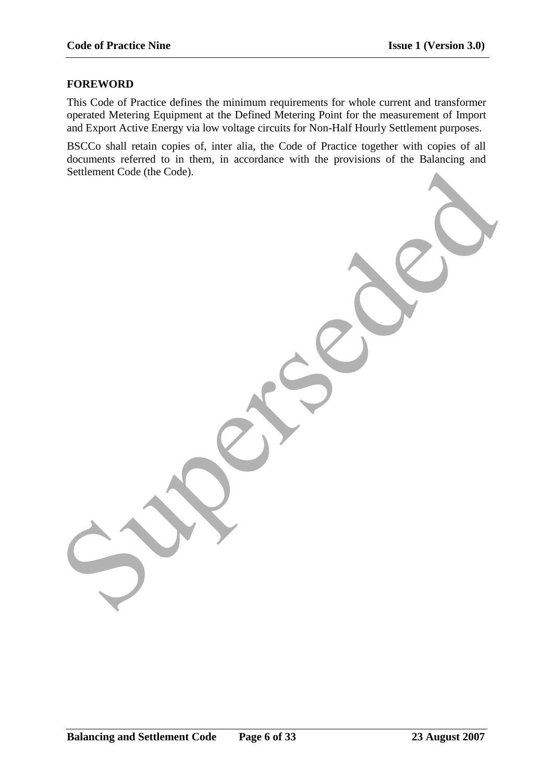#### **FOREWORD**

This Code of Practice defines the minimum requirements for whole current and transformer operated Metering Equipment at the Defined Metering Point for the measurement of Import and Export Active Energy via low voltage circuits for Non-Half Hourly Settlement purposes.

BSCCo shall retain copies of, inter alia, the Code of Practice together with copies of all documents referred to in them, in accordance with the provisions of the Balancing and Settlement Code (the Code). Superman Code the Code.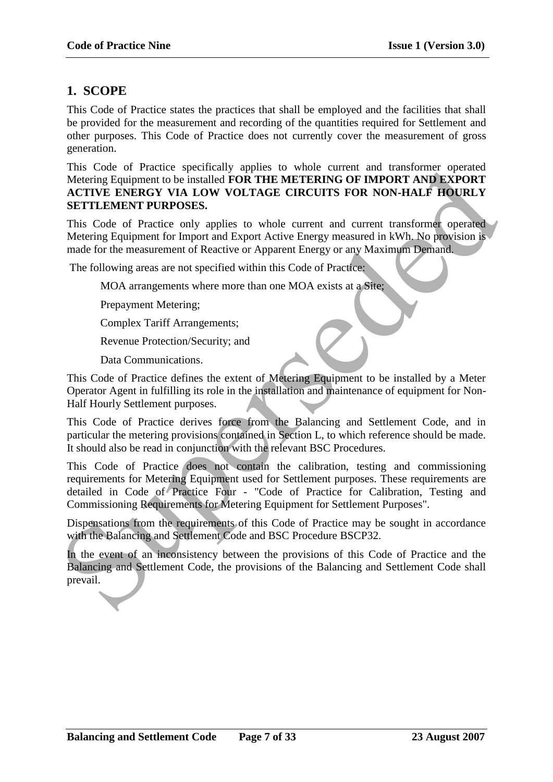# **1. SCOPE**

This Code of Practice states the practices that shall be employed and the facilities that shall be provided for the measurement and recording of the quantities required for Settlement and other purposes. This Code of Practice does not currently cover the measurement of gross generation.

This Code of Practice specifically applies to whole current and transformer operated Metering Equipment to be installed **FOR THE METERING OF IMPORT AND EXPORT ACTIVE ENERGY VIA LOW VOLTAGE CIRCUITS FOR NON-HALF HOURLY SETTLEMENT PURPOSES.**

This Code of Practice only applies to whole current and current transformer operated Metering Equipment for Import and Export Active Energy measured in kWh. No provision is made for the measurement of Reactive or Apparent Energy or any Maximum Demand.

The following areas are not specified within this Code of Practice:

MOA arrangements where more than one MOA exists at a Site;

Prepayment Metering;

Complex Tariff Arrangements;

Revenue Protection/Security; and

Data Communications.

This Code of Practice defines the extent of Metering Equipment to be installed by a Meter Operator Agent in fulfilling its role in the installation and maintenance of equipment for Non-Half Hourly Settlement purposes.

This Code of Practice derives force from the Balancing and Settlement Code, and in particular the metering provisions contained in Section L, to which reference should be made. It should also be read in conjunction with the relevant BSC Procedures.

This Code of Practice does not contain the calibration, testing and commissioning requirements for Metering Equipment used for Settlement purposes. These requirements are detailed in Code of Practice Four - "Code of Practice for Calibration, Testing and Commissioning Requirements for Metering Equipment for Settlement Purposes". This Code of Practice specifically applies to whole current and annisomic operation<br>THETELENES CONFIGURATION EXPLORED MODEL AND EXPLORE MONEMATION EXPLORED ACTIVE EXERCIVITY SETTLEMENT PURPORES.<br>
This Code of Practice only

Dispensations from the requirements of this Code of Practice may be sought in accordance with the Balancing and Settlement Code and BSC Procedure BSCP32.

In the event of an inconsistency between the provisions of this Code of Practice and the Balancing and Settlement Code, the provisions of the Balancing and Settlement Code shall prevail.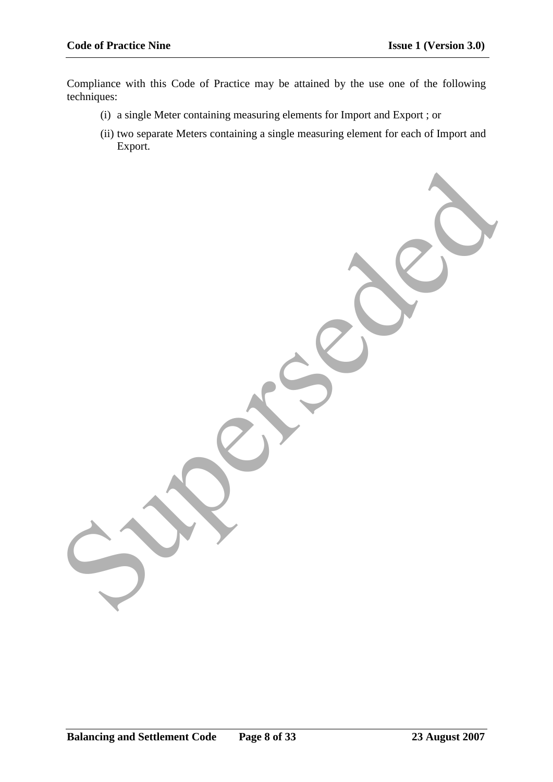Compliance with this Code of Practice may be attained by the use one of the following techniques:

Superseded

- (i) a single Meter containing measuring elements for Import and Export ; or
- (ii) two separate Meters containing a single measuring element for each of Import and Export.

**Balancing and Settlement Code Page 8 of 33 23 August 2007**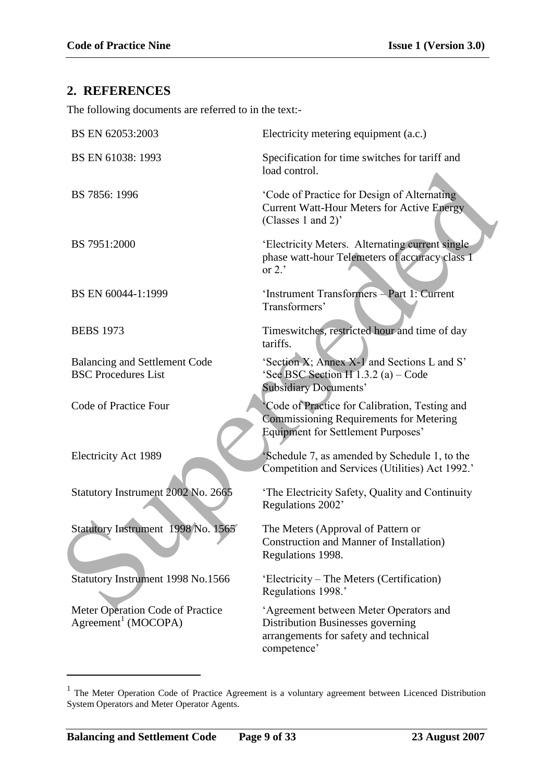## **2. REFERENCES**

The following documents are referred to in the text:-

| Electricity metering equipment (a.c.)                                                                                                  |
|----------------------------------------------------------------------------------------------------------------------------------------|
| Specification for time switches for tariff and<br>load control.                                                                        |
| 'Code of Practice for Design of Alternating<br><b>Current Watt-Hour Meters for Active Energy</b><br>(Classes 1 and 2)'                 |
| 'Electricity Meters. Alternating current single<br>phase watt-hour Telemeters of accuracy class 1<br>or $2.7$                          |
| 'Instrument Transformers - Part 1: Current<br>Transformers'                                                                            |
| Timeswitches, restricted hour and time of day<br>tariffs.                                                                              |
| 'Section X; Annex X-1 and Sections L and S'<br>'See BSC Section H 1.3.2 (a) – Code<br><b>Subsidiary Documents'</b>                     |
| 'Code of Practice for Calibration, Testing and<br>Commissioning Requirements for Metering<br><b>Equipment for Settlement Purposes'</b> |
| Schedule 7, as amended by Schedule 1, to the<br>Competition and Services (Utilities) Act 1992.'                                        |
| 'The Electricity Safety, Quality and Continuity<br>Regulations 2002'                                                                   |
| The Meters (Approval of Pattern or<br>Construction and Manner of Installation)<br>Regulations 1998.                                    |
| 'Electricity – The Meters (Certification)<br>Regulations 1998.'                                                                        |
| 'Agreement between Meter Operators and<br>Distribution Businesses governing<br>arrangements for safety and technical<br>competence'    |
|                                                                                                                                        |

<sup>&</sup>lt;sup>1</sup> The Meter Operation Code of Practice Agreement is a voluntary agreement between Licenced Distribution System Operators and Meter Operator Agents.

<u>.</u>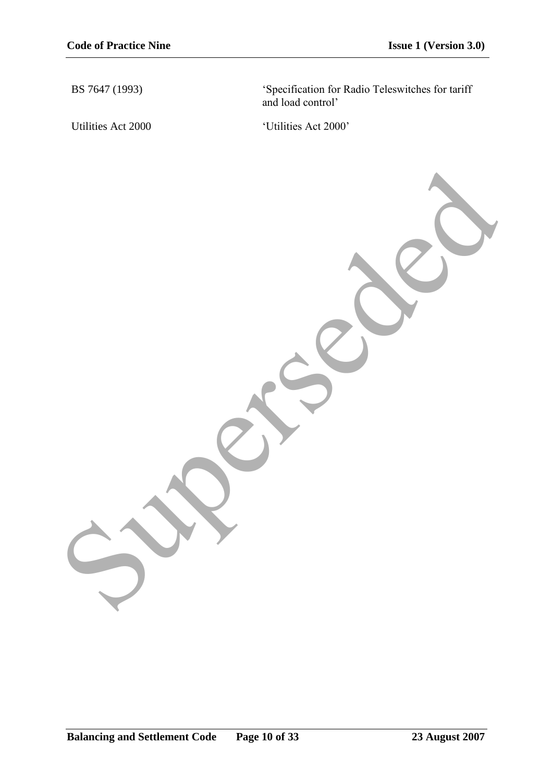BS 7647 (1993) "Specification for Radio Teleswitches for tariff and load control"

Utilities Act 2000 <br>
'Utilities Act 2000'

Superseded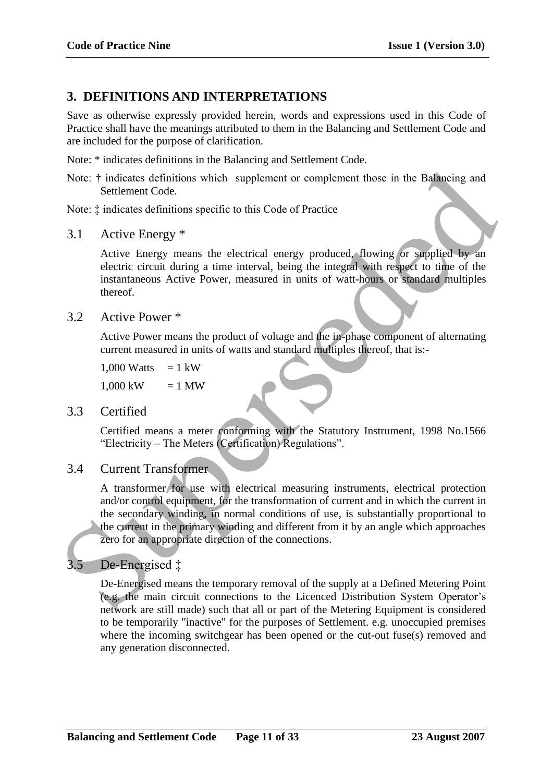# **3. DEFINITIONS AND INTERPRETATIONS**

Save as otherwise expressly provided herein, words and expressions used in this Code of Practice shall have the meanings attributed to them in the Balancing and Settlement Code and are included for the purpose of clarification.

Note: \* indicates definitions in the Balancing and Settlement Code.

Note:  $\dagger$  indicates definitions which supplement or complement those in the Balancing and Settlement Code.

Note: ‡ indicates definitions specific to this Code of Practice

3.1 Active Energy \*

Active Energy means the electrical energy produced, flowing or supplied by an electric circuit during a time interval, being the integral with respect to time of the instantaneous Active Power, measured in units of watt-hours or standard multiples thereof.

3.2 Active Power \*

Active Power means the product of voltage and the in-phase component of alternating current measured in units of watts and standard multiples thereof, that is:-

 $1,000$  Watts = 1 kW

 $1,000 \text{ kW} = 1 \text{ MW}$ 

3.3 Certified

Certified means a meter conforming with the Statutory Instrument, 1998 No.1566 "Electricity – The Meters (Certification) Regulations".

3.4 Current Transformer

A transformer for use with electrical measuring instruments, electrical protection and/or control equipment, for the transformation of current and in which the current in the secondary winding, in normal conditions of use, is substantially proportional to the current in the primary winding and different from it by an angle which approaches zero for an appropriate direction of the connections. Note:  $\dagger$  indicates definitions which supplement or complement those in the Baltancing and<br>
Settlement Code.<br>
Supersettic interactions specific to this Code of Practice<br>
Note:  $\dagger$  indicates definitions specific to this

# De-Energised  $\ddagger$

De-Energised means the temporary removal of the supply at a Defined Metering Point (e.g. the main circuit connections to the Licenced Distribution System Operator"s network are still made) such that all or part of the Metering Equipment is considered to be temporarily "inactive" for the purposes of Settlement. e.g. unoccupied premises where the incoming switchgear has been opened or the cut-out fuse(s) removed and any generation disconnected.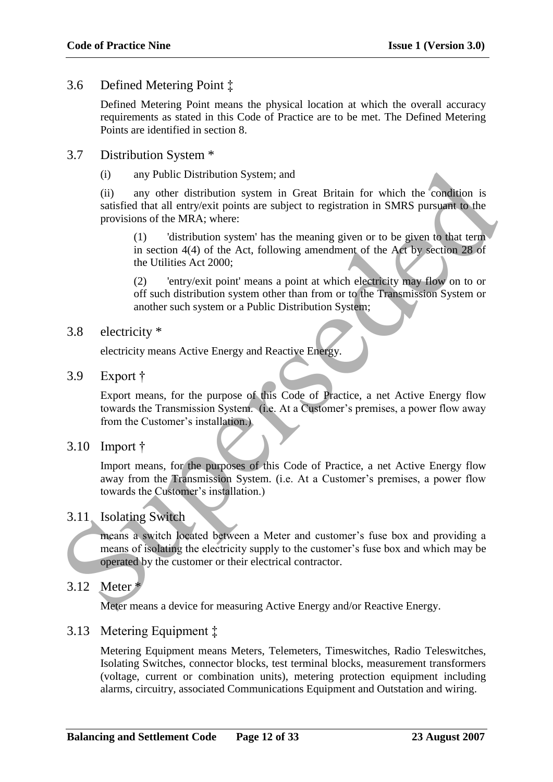## 3.6 Defined Metering Point ‡

Defined Metering Point means the physical location at which the overall accuracy requirements as stated in this Code of Practice are to be met. The Defined Metering Points are identified in section 8.

- 3.7 Distribution System \*
	- (i) any Public Distribution System; and

(ii) any other distribution system in Great Britain for which the condition is satisfied that all entry/exit points are subject to registration in SMRS pursuant to the provisions of the MRA; where:

(1) 'distribution system' has the meaning given or to be given to that term in section 4(4) of the Act, following amendment of the Act by section 28 of the Utilities Act 2000;

(2) 'entry/exit point' means a point at which electricity may flow on to or off such distribution system other than from or to the Transmission System or another such system or a Public Distribution System;

3.8 electricity \*

electricity means Active Energy and Reactive Energy.

3.9 Export †

Export means, for the purpose of this Code of Practice, a net Active Energy flow towards the Transmission System. (i.e. At a Customer's premises, a power flow away from the Customer's installation.) (i) any Public Distribution System; and<br>
(ii) any other distribution system in Great Britain for which the condition is<br>
sustisfied that all entry/exit points are subject to registration in SMRS pursuant to the<br>
provision

3.10 Import †

Import means, for the purposes of this Code of Practice, a net Active Energy flow away from the Transmission System. (i.e. At a Customer's premises, a power flow towards the Customer's installation.)

## 3.11 Isolating Switch

means a switch located between a Meter and customer"s fuse box and providing a means of isolating the electricity supply to the customer"s fuse box and which may be operated by the customer or their electrical contractor.

3.12 Meter \*

Meter means a device for measuring Active Energy and/or Reactive Energy.

## 3.13 Metering Equipment ‡

Metering Equipment means Meters, Telemeters, Timeswitches, Radio Teleswitches, Isolating Switches, connector blocks, test terminal blocks, measurement transformers (voltage, current or combination units), metering protection equipment including alarms, circuitry, associated Communications Equipment and Outstation and wiring.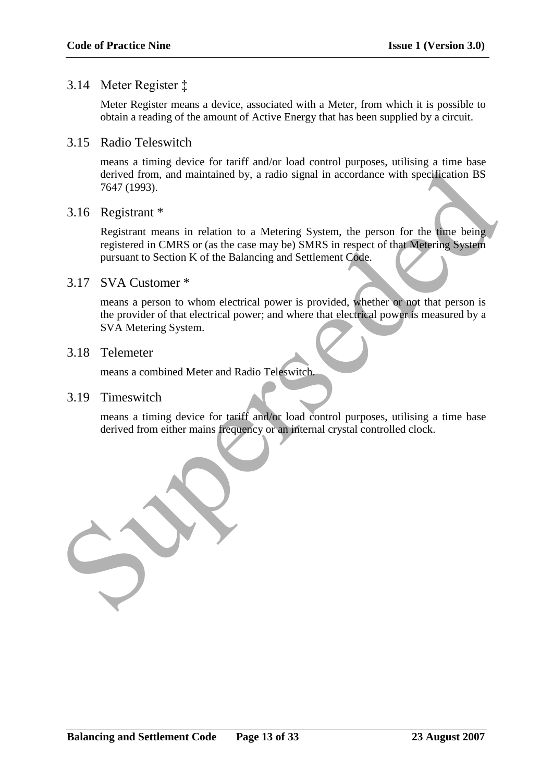## 3.14 Meter Register ‡

Meter Register means a device, associated with a Meter, from which it is possible to obtain a reading of the amount of Active Energy that has been supplied by a circuit.

3.15 Radio Teleswitch

means a timing device for tariff and/or load control purposes, utilising a time base derived from, and maintained by, a radio signal in accordance with specification BS 7647 (1993).

#### 3.16 Registrant \*

Registrant means in relation to a Metering System, the person for the time being registered in CMRS or (as the case may be) SMRS in respect of that Metering System pursuant to Section K of the Balancing and Settlement Code.

### 3.17 SVA Customer \*

means a person to whom electrical power is provided, whether or not that person is the provider of that electrical power; and where that electrical power is measured by a SVA Metering System.

## 3.18 Telemeter

means a combined Meter and Radio Teleswitch.

### 3.19 Timeswitch

means a timing device for tariff and/or load control purposes, utilising a time base derived from either mains frequency or an internal crystal controlled clock.

derived from, and maintained by, a radio signal in accordance with specification BS<br>
7647 (1993).<br>
Registrant means in relation to a Metering System, the person for the dme being<br>
registered in CMRS or (as the case may be)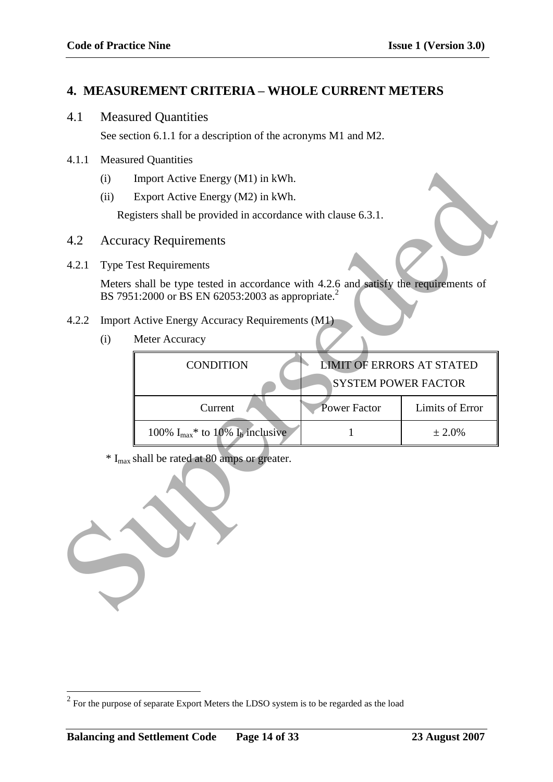# **4. MEASUREMENT CRITERIA – WHOLE CURRENT METERS**

4.1 Measured Quantities

See section 6.1.1 for a description of the acronyms M1 and M2.

- 4.1.1 Measured Quantities
	- (i) Import Active Energy (M1) in kWh.
	- (ii) Export Active Energy (M2) in kWh.

- 4.2 Accuracy Requirements
- 4.2.1 Type Test Requirements

- 4.2.2 Import Active Energy Accuracy Requirements (M1)
	- (i) Meter Accuracy

|       | (i)                                                               | Import Active Energy (M1) in kWh.                                                                                                                     |                                  |                 |
|-------|-------------------------------------------------------------------|-------------------------------------------------------------------------------------------------------------------------------------------------------|----------------------------------|-----------------|
|       | (ii)                                                              | Export Active Energy (M2) in kWh.                                                                                                                     |                                  |                 |
|       |                                                                   | Registers shall be provided in accordance with clause 6.3.1.                                                                                          |                                  |                 |
| 4.2   | <b>Accuracy Requirements</b>                                      |                                                                                                                                                       |                                  |                 |
| 4.2.1 |                                                                   | <b>Type Test Requirements</b>                                                                                                                         |                                  |                 |
|       |                                                                   | Meters shall be type tested in accordance with 4.2.6 and satisfy the requirements of<br>BS 7951:2000 or BS EN 62053:2003 as appropriate. <sup>2</sup> |                                  |                 |
| 4.2.2 |                                                                   | Import Active Energy Accuracy Requirements (M1)                                                                                                       |                                  |                 |
|       | (i)                                                               | Meter Accuracy                                                                                                                                        |                                  |                 |
|       |                                                                   | <b>CONDITION</b>                                                                                                                                      | <b>LIMIT OF ERRORS AT STATED</b> |                 |
|       |                                                                   |                                                                                                                                                       | <b>SYSTEM POWER FACTOR</b>       |                 |
|       |                                                                   | Current                                                                                                                                               | <b>Power Factor</b>              | Limits of Error |
|       | 100% $I_{max}$ * to 10% $I_b$ inclusive<br>$\mathbf{1}$<br>± 2.0% |                                                                                                                                                       |                                  |                 |
|       |                                                                   | * I <sub>max</sub> shall be rated at 80 amps or greater.                                                                                              |                                  |                 |
|       |                                                                   |                                                                                                                                                       |                                  |                 |



1

 $2^{2}$  For the purpose of separate Export Meters the LDSO system is to be regarded as the load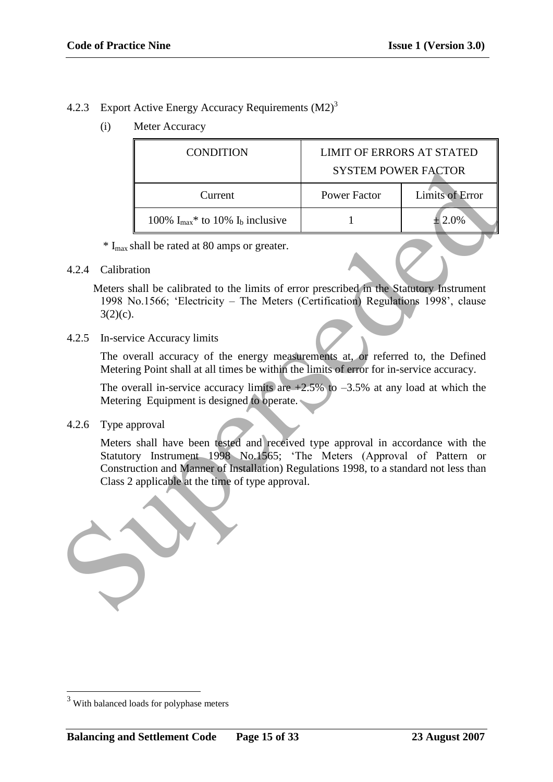## 4.2.3 Export Active Energy Accuracy Requirements (M2)<sup>3</sup>

(i) Meter Accuracy

|                                                                                                                                                                                              |                                                                                                                                                                                                                                                                                                         | <b>CONDITION</b>                                                                                                                       | <b>LIMIT OF ERRORS AT STATED</b> |                        |  |
|----------------------------------------------------------------------------------------------------------------------------------------------------------------------------------------------|---------------------------------------------------------------------------------------------------------------------------------------------------------------------------------------------------------------------------------------------------------------------------------------------------------|----------------------------------------------------------------------------------------------------------------------------------------|----------------------------------|------------------------|--|
|                                                                                                                                                                                              |                                                                                                                                                                                                                                                                                                         |                                                                                                                                        | <b>SYSTEM POWER FACTOR</b>       |                        |  |
|                                                                                                                                                                                              |                                                                                                                                                                                                                                                                                                         | Current                                                                                                                                | <b>Power Factor</b>              | <b>Limits of Error</b> |  |
|                                                                                                                                                                                              |                                                                                                                                                                                                                                                                                                         | 100% $I_{max}$ * to 10% $I_b$ inclusive                                                                                                | $\mathbf{1}$                     | $± 2.0\%$              |  |
|                                                                                                                                                                                              |                                                                                                                                                                                                                                                                                                         | * I <sub>max</sub> shall be rated at 80 amps or greater.                                                                               |                                  |                        |  |
| 4.2.4                                                                                                                                                                                        | Calibration                                                                                                                                                                                                                                                                                             |                                                                                                                                        |                                  |                        |  |
| Meters shall be calibrated to the limits of error prescribed in the Statutory Instrument<br>1998 No.1566; 'Electricity - The Meters (Certification) Regulations 1998', clause<br>$3(2)(c)$ . |                                                                                                                                                                                                                                                                                                         |                                                                                                                                        |                                  |                        |  |
| 4.2.5                                                                                                                                                                                        |                                                                                                                                                                                                                                                                                                         | In-service Accuracy limits                                                                                                             |                                  |                        |  |
|                                                                                                                                                                                              | The overall accuracy of the energy measurements at, or referred to, the Defined<br>Metering Point shall at all times be within the limits of error for in-service accuracy.                                                                                                                             |                                                                                                                                        |                                  |                        |  |
|                                                                                                                                                                                              |                                                                                                                                                                                                                                                                                                         | The overall in-service accuracy limits are $+2.5\%$ to $-3.5\%$ at any load at which the<br>Metering Equipment is designed to operate. |                                  |                        |  |
| 4.2.6                                                                                                                                                                                        |                                                                                                                                                                                                                                                                                                         | Type approval                                                                                                                          |                                  |                        |  |
|                                                                                                                                                                                              | Meters shall have been tested and received type approval in accordance with the<br>Statutory Instrument 1998 No.1565; 'The Meters (Approval of Pattern or<br>Construction and Manner of Installation) Regulations 1998, to a standard not less than<br>Class 2 applicable at the time of type approval. |                                                                                                                                        |                                  |                        |  |
|                                                                                                                                                                                              |                                                                                                                                                                                                                                                                                                         |                                                                                                                                        |                                  |                        |  |

### 4.2.4 Calibration

### 4.2.5 In-service Accuracy limits

### 4.2.6 Type approval



1

<sup>&</sup>lt;sup>3</sup> With balanced loads for polyphase meters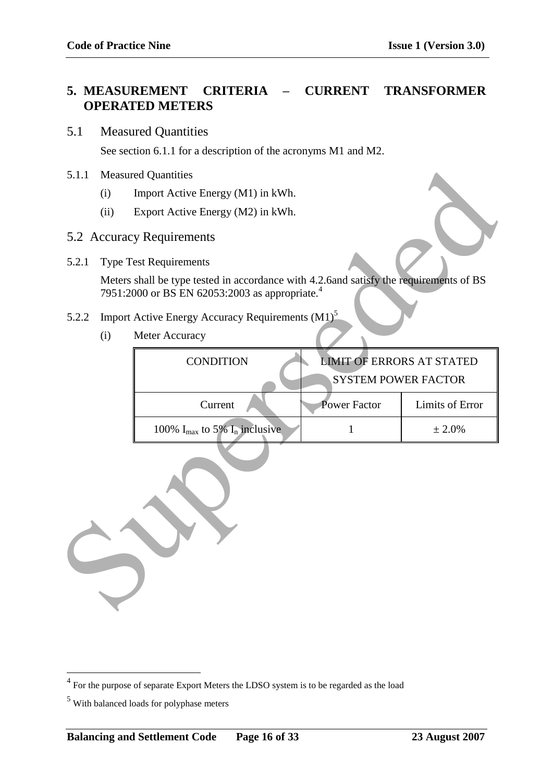## **5. MEASUREMENT CRITERIA – CURRENT TRANSFORMER OPERATED METERS**

## 5.1 Measured Quantities

See section 6.1.1 for a description of the acronyms M1 and M2.

### 5.1.1 Measured Quantities

- (i) Import Active Energy (M1) in kWh.
- (ii) Export Active Energy (M2) in kWh.

## 5.2 Accuracy Requirements

## 5.2.2 Import Active Energy Accuracy Requirements (M1)<sup>5</sup>

| 5.1.1 |                                                                | <b>Measured Quantities</b>                                                                                                                           |                                  |                 |
|-------|----------------------------------------------------------------|------------------------------------------------------------------------------------------------------------------------------------------------------|----------------------------------|-----------------|
|       | (i)                                                            | Import Active Energy (M1) in kWh.                                                                                                                    |                                  |                 |
|       | (ii)                                                           | Export Active Energy (M2) in kWh.                                                                                                                    |                                  |                 |
|       |                                                                | 5.2 Accuracy Requirements                                                                                                                            |                                  |                 |
| 5.2.1 |                                                                | <b>Type Test Requirements</b>                                                                                                                        |                                  |                 |
|       |                                                                | Meters shall be type tested in accordance with 4.2.6and satisfy the requirements of BS<br>7951:2000 or BS EN 62053:2003 as appropriate. <sup>4</sup> |                                  |                 |
| 5.2.2 |                                                                | Import Active Energy Accuracy Requirements (M1) <sup>5</sup>                                                                                         |                                  |                 |
|       | (i)                                                            | Meter Accuracy                                                                                                                                       |                                  |                 |
|       |                                                                | <b>CONDITION</b>                                                                                                                                     | <b>LIMIT OF ERRORS AT STATED</b> |                 |
|       |                                                                |                                                                                                                                                      | <b>SYSTEM POWER FACTOR</b>       |                 |
|       |                                                                | Current                                                                                                                                              | <b>Power Factor</b>              | Limits of Error |
|       | 100% $I_{max}$ to 5% $I_n$ inclusive<br>$\mathbf{1}$<br>± 2.0% |                                                                                                                                                      |                                  |                 |
|       |                                                                |                                                                                                                                                      |                                  |                 |

<sup>&</sup>lt;sup>4</sup> For the purpose of separate Export Meters the LDSO system is to be regarded as the load

<sup>5</sup> With balanced loads for polyphase meters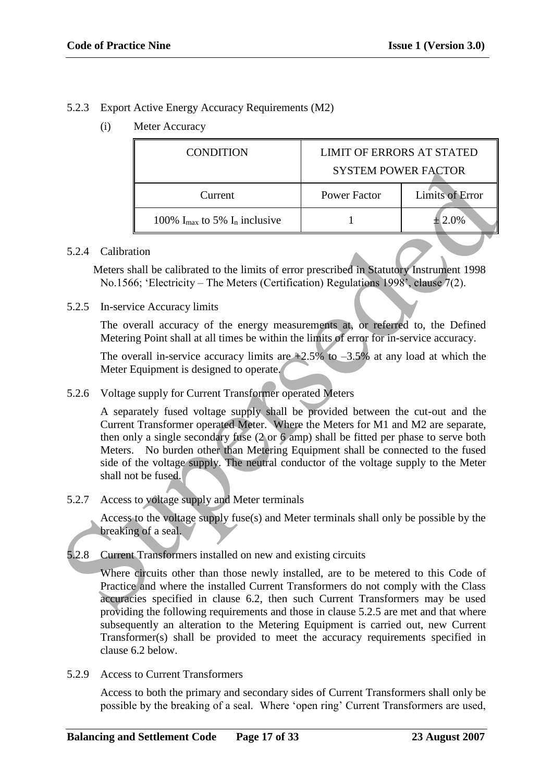## 5.2.3 Export Active Energy Accuracy Requirements (M2)

(i) Meter Accuracy

| <b>CONDITION</b>                            | <b>LIMIT OF ERRORS AT STATED</b><br><b>SYSTEM POWER FACTOR</b> |                        |
|---------------------------------------------|----------------------------------------------------------------|------------------------|
| Current                                     | Power Factor                                                   | <b>Limits of Error</b> |
| 100% $I_{\text{max}}$ to 5% $I_n$ inclusive |                                                                | 2.0%                   |

### 5.2.4 Calibration

Meters shall be calibrated to the limits of error prescribed in Statutory Instrument 1998 No.1566; "Electricity – The Meters (Certification) Regulations 1998", clause 7(2).

5.2.5 In-service Accuracy limits

The overall accuracy of the energy measurements at, or referred to, the Defined Metering Point shall at all times be within the limits of error for in-service accuracy.

The overall in-service accuracy limits are  $+2.5\%$  to  $-3.5\%$  at any load at which the Meter Equipment is designed to operate.

5.2.6 Voltage supply for Current Transformer operated Meters

A separately fused voltage supply shall be provided between the cut-out and the Current Transformer operated Meter. Where the Meters for M1 and M2 are separate, then only a single secondary fuse (2 or 6 amp) shall be fitted per phase to serve both Meters. No burden other than Metering Equipment shall be connected to the fused side of the voltage supply. The neutral conductor of the voltage supply to the Meter shall not be fused. SYSTEM POWER FACTOR<br>
Tower Factor Limits of Error<br>
100%  $I_{\text{max}}$  to 5%  $I_{\text{a}}$  inclusive<br>
1100%  $I_{\text{max}}$  to 5%  $I_{\text{b}}$  inclusive<br>
5.2.4 Calibration<br>
Meters shall be calibrated to the limits of error prescribed in St

5.2.7 Access to voltage supply and Meter terminals

Access to the voltage supply fuse(s) and Meter terminals shall only be possible by the breaking of a seal.

5.2.8 Current Transformers installed on new and existing circuits

Where circuits other than those newly installed, are to be metered to this Code of Practice and where the installed Current Transformers do not comply with the Class accuracies specified in clause 6.2, then such Current Transformers may be used providing the following requirements and those in clause 5.2.5 are met and that where subsequently an alteration to the Metering Equipment is carried out, new Current Transformer(s) shall be provided to meet the accuracy requirements specified in clause 6.2 below.

5.2.9 Access to Current Transformers

Access to both the primary and secondary sides of Current Transformers shall only be possible by the breaking of a seal. Where "open ring" Current Transformers are used,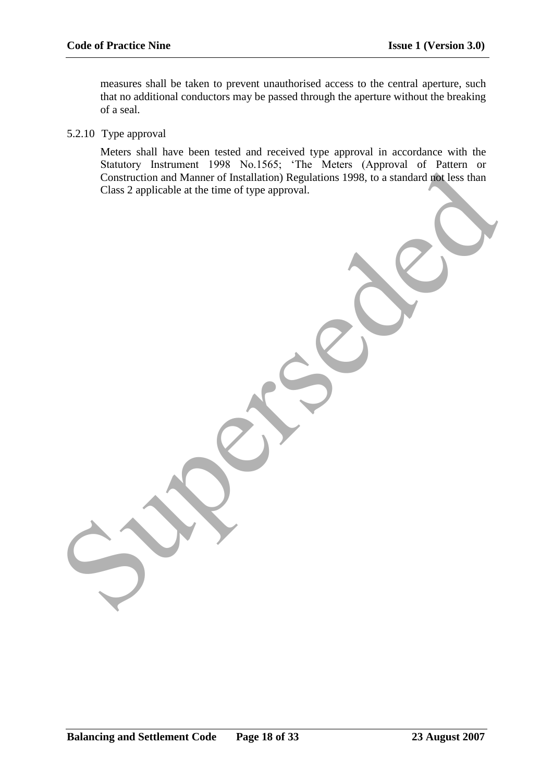measures shall be taken to prevent unauthorised access to the central aperture, such that no additional conductors may be passed through the aperture without the breaking of a seal.

#### 5.2.10 Type approval

Meters shall have been tested and received type approval in accordance with the Statutory Instrument 1998 No.1565; "The Meters (Approval of Pattern or Construction and Manner of Installation) Regulations 1998, to a standard not less than Class 2 applicable at the time of type approval. construction and Manner of Installation Regulations 1998, to a standard relications Class 2 applicable at the time of type approval.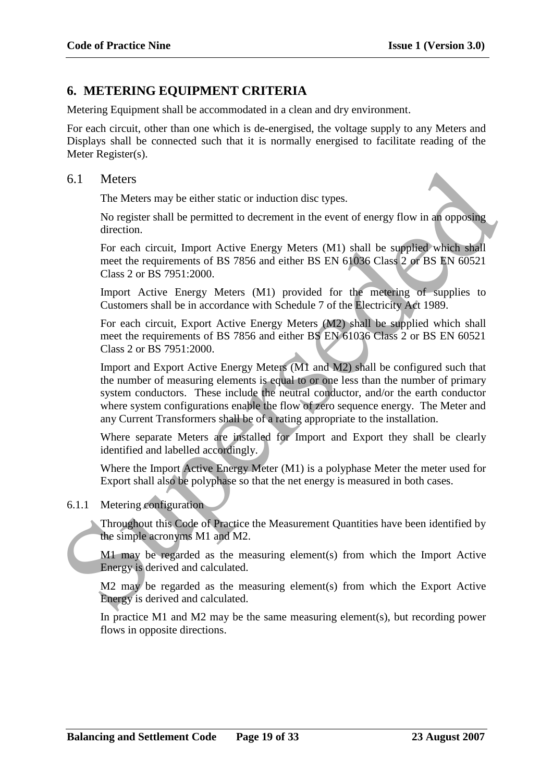## **6. METERING EQUIPMENT CRITERIA**

Metering Equipment shall be accommodated in a clean and dry environment.

For each circuit, other than one which is de-energised, the voltage supply to any Meters and Displays shall be connected such that it is normally energised to facilitate reading of the Meter Register(s).

#### 6.1 Meters

The Meters may be either static or induction disc types.

No register shall be permitted to decrement in the event of energy flow in an opposing direction.

For each circuit, Import Active Energy Meters (M1) shall be supplied which shall meet the requirements of BS 7856 and either BS EN 61036 Class 2 or BS EN 60521 Class 2 or BS 7951:2000.

Import Active Energy Meters (M1) provided for the metering of supplies to Customers shall be in accordance with Schedule 7 of the Electricity Act 1989.

For each circuit, Export Active Energy Meters (M2) shall be supplied which shall meet the requirements of BS 7856 and either BS EN 61036 Class 2 or BS EN 60521 Class 2 or BS 7951:2000.

Import and Export Active Energy Meters (M1 and M2) shall be configured such that the number of measuring elements is equal to or one less than the number of primary system conductors. These include the neutral conductor, and/or the earth conductor where system configurations enable the flow of zero sequence energy. The Meter and any Current Transformers shall be of a rating appropriate to the installation. 6.1 Meters<br>
The Meters may be either static or induction disc types.<br>
The Meters may be either static or induction disc types.<br>
No register shall be permitted to decrement in the event of energy Mov in an opposing<br>
direct

Where separate Meters are installed for Import and Export they shall be clearly identified and labelled accordingly.

Where the Import Active Energy Meter (M1) is a polyphase Meter the meter used for Export shall also be polyphase so that the net energy is measured in both cases.

#### 6.1.1 Metering configuration

Throughout this Code of Practice the Measurement Quantities have been identified by the simple acronyms M1 and M2.

M1 may be regarded as the measuring element(s) from which the Import Active Energy is derived and calculated.

M2 may be regarded as the measuring element(s) from which the Export Active Energy is derived and calculated.

In practice M1 and M2 may be the same measuring element(s), but recording power flows in opposite direction s.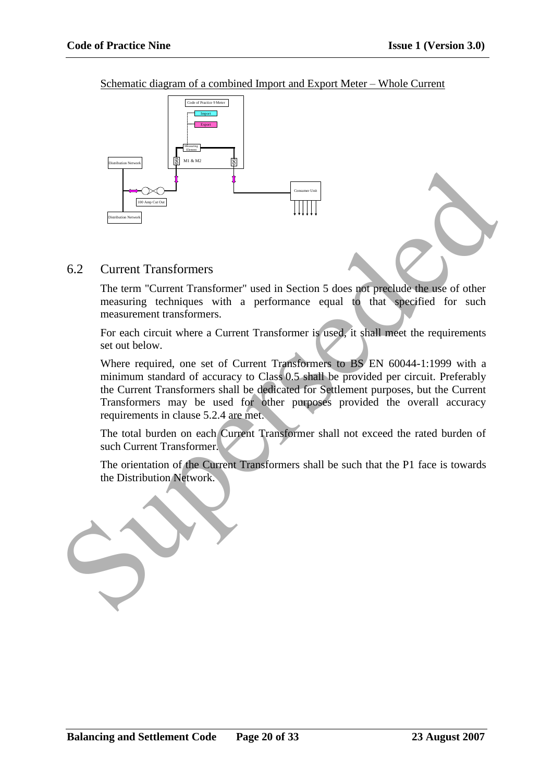Schematic diagram of a combined Import and Export Meter – Whole Current



## 6.2 Current Transformers

The term "Current Transformer" used in Section 5 does not preclude the use of other measuring techniques with a performance equal to that specified for such measurement transformers.

For each circuit where a Current Transformer is used, it shall meet the requirements set out below.

Where required, one set of Current Transformers to BS EN 60044-1:1999 with a minimum standard of accuracy to Class 0.5 shall be provided per circuit. Preferably the Current Transformers shall be dedicated for Settlement purposes, but the Current Transformers may be used for other purposes provided the overall accuracy requirements in clause 5.2.4 are met. Superior Control Transformer and the Superior Schess and predicted the base of other<br>
The term "Current Transformer" used in Section 5 does not predicte the tase of other<br>
measuring techniques with a performance equal to t

The total burden on each Current Transformer shall not exceed the rated burden of such Current Transformer.

The orientation of the Current Transformers shall be such that the P1 face is towards the Distribution Network.

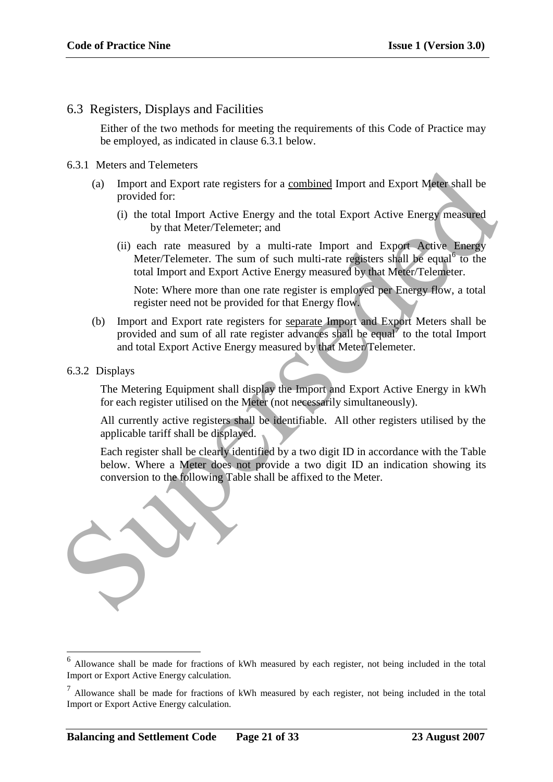## 6.3 Registers, Displays and Facilities

Either of the two methods for meeting the requirements of this Code of Practice may be employed, as indicated in clause 6.3.1 below.

#### 6.3.1 Meters and Telemeters

- (a) Import and Export rate registers for a combined Import and Export Meter shall be provided for:
	- (i) the total Import Active Energy and the total Export Active Energy measured by that Meter/Telemeter; and
	- (ii) each rate measured by a multi-rate Import and Export Active Energy Meter/Telemeter. The sum of such multi-rate registers shall be equal<sup>6</sup> to the total Import and Export Active Energy measured by that Meter/Telemeter.

Note: Where more than one rate register is employed per Energy flow, a total register need not be provided for that Energy flow.

- (b) Import and Export rate registers for separate Import and Export Meters shall be provided and sum of all rate register advances shall be equal<sup> $\gamma$ </sup> to the total Import and total Export Active Energy measured by that Meter/Telemeter.
- 6.3.2 Displays

1

The Metering Equipment shall display the Import and Export Active Energy in kWh for each register utilised on the Meter (not necessarily simultaneously).

All currently active registers shall be identifiable. All other registers utilised by the applicable tariff shall be displayed.

Each register shall be clearly identified by a two digit ID in accordance with the Table below. Where a Meter does not provide a two digit ID an indication showing its conversion to the following Table shall be affixed to the Meter.



<sup>&</sup>lt;sup>6</sup> Allowance shall be made for fractions of kWh measured by each register, not being included in the total Import or Export Active Energy calculation.

 $<sup>7</sup>$  Allowance shall be made for fractions of kWh measured by each register, not being included in the total</sup> Import or Export Active Energy calculation.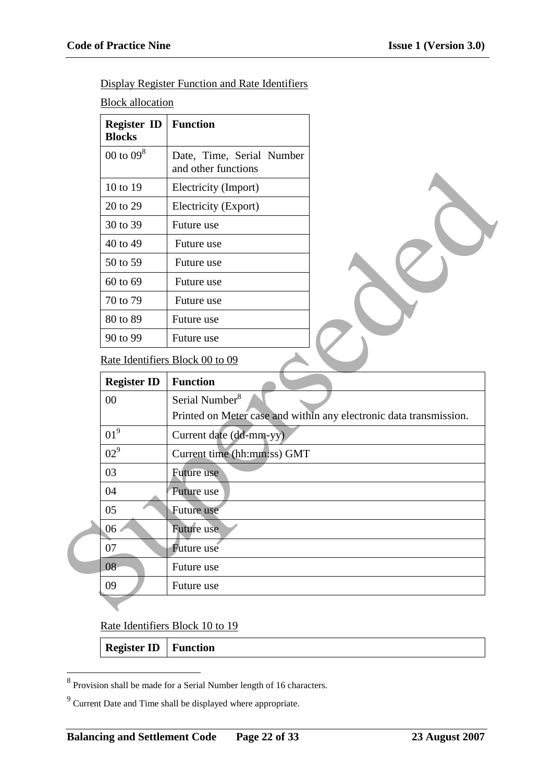Display Register Function and Rate Identifiers

**Block allocation** 

| <b>Register ID</b><br><b>Blocks</b> | <b>Function</b>                                  |
|-------------------------------------|--------------------------------------------------|
| 00 to $098$                         | Date, Time, Serial Number<br>and other functions |
| 10 to 19                            | Electricity (Import)                             |
| 20 to 29                            | Electricity (Export)                             |
| 30 to 39                            | Future use                                       |
| 40 to 49                            | Future use                                       |
| 50 to 59                            | Future use                                       |
| 60 to 69                            | Future use                                       |
| 70 to 79                            | Future use                                       |
| 80 to 89                            | Future use                                       |
| 90 to 99                            | Future use                                       |

## Rate Identifiers Block 00 to 09

|                    | and other functions                                                |  |
|--------------------|--------------------------------------------------------------------|--|
| 10 to 19           | Electricity (Import)                                               |  |
| 20 to 29           | Electricity (Export)                                               |  |
| 30 to 39           | Future use                                                         |  |
| 40 to 49           | Future use                                                         |  |
| 50 to 59           | Future use                                                         |  |
| 60 to 69           | Future use                                                         |  |
| 70 to 79           | Future use                                                         |  |
| 80 to 89           | Future use                                                         |  |
| 90 to 99           | Future use                                                         |  |
|                    | Rate Identifiers Block 00 to 09                                    |  |
| <b>Register ID</b> | <b>Function</b>                                                    |  |
| 00                 | Serial Number <sup>8</sup>                                         |  |
|                    | Printed on Meter case and within any electronic data transmission. |  |
| 01 <sup>9</sup>    | Current date (dd-mm-yy)                                            |  |
| 02 <sup>9</sup>    | Current time (hh:mm:ss) GMT                                        |  |
| 03                 | Future use                                                         |  |
| 04                 | Future use                                                         |  |
| 05                 | <b>Future use</b>                                                  |  |
| 06 <sub>1</sub>    | Future use                                                         |  |
| 07                 | Future use                                                         |  |
| 08                 | Future use                                                         |  |
| 09                 | Future use                                                         |  |
|                    |                                                                    |  |

Rate Identifiers Block 10 to 19

## **Register ID Function**

<sup>&</sup>lt;sup>8</sup> Provision shall be made for a Serial Number length of 16 characters.

 $9^9$  Current Date and Time shall be displayed where appropriate.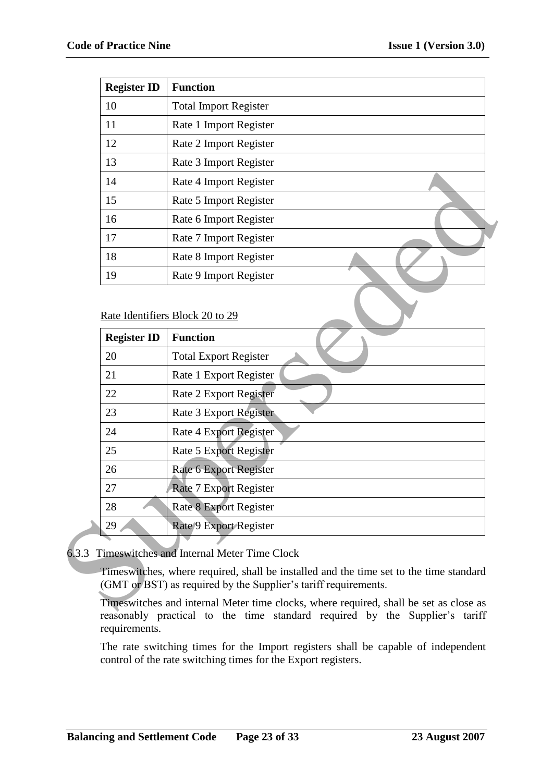| <b>Register ID</b> | <b>Function</b>              |
|--------------------|------------------------------|
| 10                 | <b>Total Import Register</b> |
| 11                 | Rate 1 Import Register       |
| 12                 | Rate 2 Import Register       |
| 13                 | Rate 3 Import Register       |
| 14                 | Rate 4 Import Register       |
| 15                 | Rate 5 Import Register       |
| 16                 | Rate 6 Import Register       |
| 17                 | Rate 7 Import Register       |
| 18                 | Rate 8 Import Register       |
| 19                 | Rate 9 Import Register       |

| Rate 4 Import Register          |
|---------------------------------|
|                                 |
| Rate 5 Import Register          |
| Rate 6 Import Register          |
| Rate 7 Import Register          |
| Rate 8 Import Register          |
| Rate 9 Import Register          |
| Rate Identifiers Block 20 to 29 |
| <b>Function</b>                 |
| <b>Total Export Register</b>    |
| Rate 1 Export Register          |
| Rate 2 Export Register          |
| Rate 3 Export Register          |
| <b>Rate 4 Export Register</b>   |
| <b>Rate 5 Export Register</b>   |
| Rate 6 Export Register          |
| <b>Rate 7 Export Register</b>   |
| <b>Rate 8 Export Register</b>   |
|                                 |
| Rate 9 Export Register          |
|                                 |

Timeswitches and internal Meter time clocks, where required, shall be set as close as reasonably practical to the time standard required by the Supplier"s tariff requirements.

The rate switching times for the Import registers shall be capable of independent control of the rate switching times for the Export registers.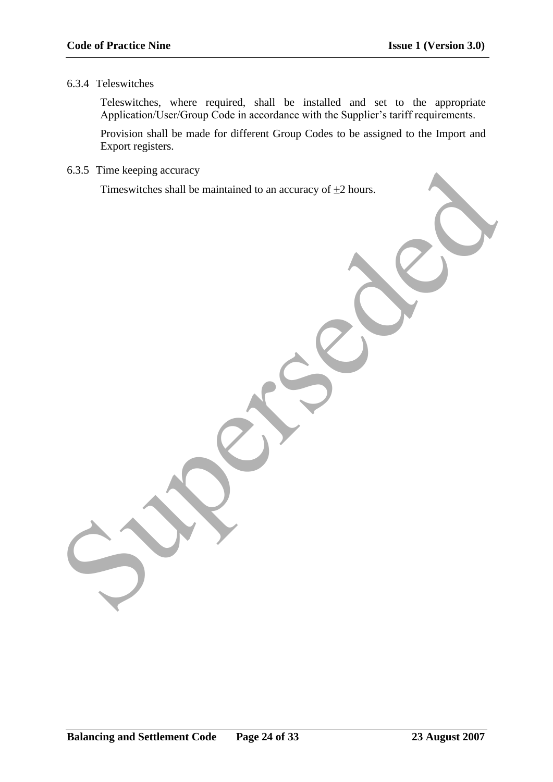### 6.3.4 Teleswitches

Teleswitches, where required, shall be installed and set to the appropriate Application/User/Group Code in accordance with the Supplier's tariff requirements.

Provision shall be made for different Group Codes to be assigned to the Import and Export registers.

6.3.5 Time keeping accuracy

Timeswitches shall be maintained to an accuracy of  $\pm 2$  hours.

6.3.5 Time keeping accuracy<br>Timeswitches shall be maintained to an accuracy of #2 hours.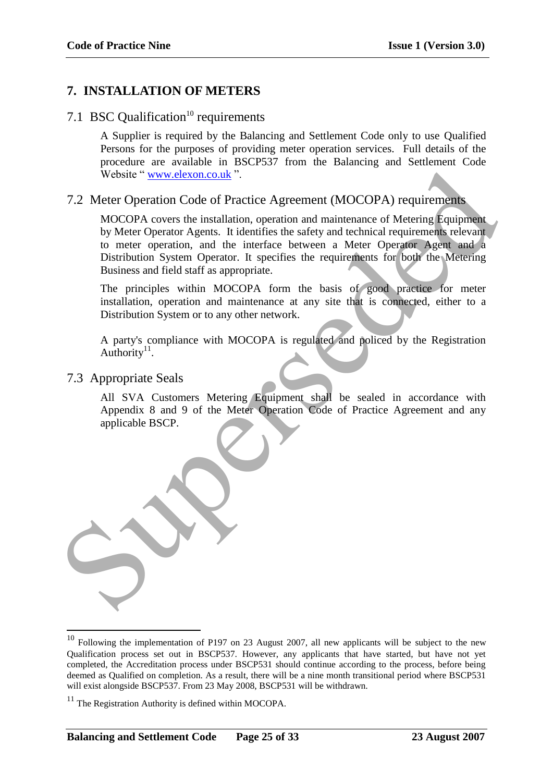## **7. INSTALLATION OF METERS**

# 7.1 BSC Qualification<sup>10</sup> requirements

A Supplier is required by the Balancing and Settlement Code only to use Qualified Persons for the purposes of providing meter operation services. Full details of the procedure are available in BSCP537 from the Balancing and Settlement Code Website " www.elexon.co.uk ".

## 7.2 Meter Operation Code of Practice Agreement (MOCOPA) requirements

MOCOPA covers the installation, operation and maintenance of Metering Equipment by Meter Operator Agents. It identifies the safety and technical requirements relevant to meter operation, and the interface between a Meter Operator Agent and a Distribution System Operator. It specifies the requirements for both the Metering Business and field staff as appropriate. Website " www.elexon.co.uk ".<br>
T.2 Mcter Operation Code of Practice Agreement (MOCOPA) requirements<br>
MOCOPA overste installation, operation and maintenance of Meeting Equipment<br>
by Meter Operation Agreem is a therefore bet

The principles within MOCOPA form the basis of good practice for meter installation, operation and maintenance at any site that is connected, either to a Distribution System or to any other network.

A party's compliance with MOCOPA is regulated and policed by the Registration Authority $11$ .

## 7.3 Appropriate Seals

<u>.</u>

All SVA Customers Metering Equipment shall be sealed in accordance with Appendix 8 and 9 of the Meter Operation Code of Practice Agreement and any applicable BSCP.

 $10$  Following the implementation of P197 on 23 August 2007, all new applicants will be subject to the new Qualification process set out in BSCP537. However, any applicants that have started, but have not yet completed, the Accreditation process under BSCP531 should continue according to the process, before being deemed as Qualified on completion. As a result, there will be a nine month transitional period where BSCP531 will exist alongside BSCP537. From 23 May 2008, BSCP531 will be withdrawn.

 $11$  The Registration Authority is defined within MOCOPA.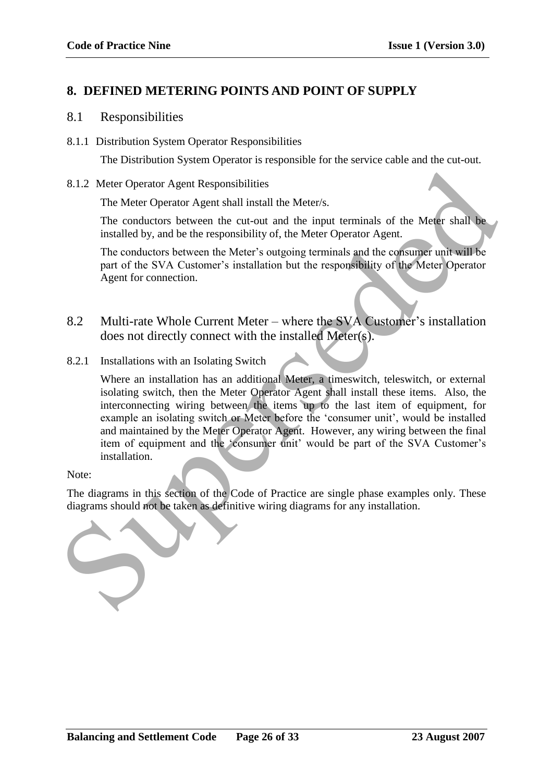# **8. DEFINED METERING POINTS AND POINT OF SUPPLY**

## 8.1 Responsibilities

8.1.1 Distribution System Operator Responsibilities

The Distribution System Operator is responsible for the service cable and the cut-out.

8.1.2 Meter Operator Agent Responsibilities

The Meter Operator Agent shall install the Meter/s.

The conductors between the cut-out and the input terminals of the Meter shall be installed by, and be the responsibility of, the Meter Operator Agent.

The conductors between the Meter"s outgoing terminals and the consumer unit will be part of the SVA Customer"s installation but the responsibility of the Meter Operator Agent for connection.

- 8.2 Multi-rate Whole Current Meter where the SVA Customer's installation does not directly connect with the installed Meter(s).
- 8.2.1 Installations with an Isolating Switch

Where an installation has an additional Meter, a timeswitch, teleswitch, or external isolating switch, then the Meter Operator Agent shall install these items. Also, the interconnecting wiring between the items up to the last item of equipment, for example an isolating switch or Meter before the 'consumer unit', would be installed and maintained by the Meter Operator Agent. However, any wiring between the final item of equipment and the 'consumer unit' would be part of the SVA Customer's installation. 1.2 Meter Operator Agent Responsibilities<br>
The Meter Operator Agent shall install the Meter's.<br>
The conductors between the cut-out and the input terminals of the Meter shall be<br>
installed by, and be the responsibility of,

Note:

The diagrams in this section of the Code of Practice are single phase examples only. These diagrams should not be taken as definitive wiring diagrams for any installation.

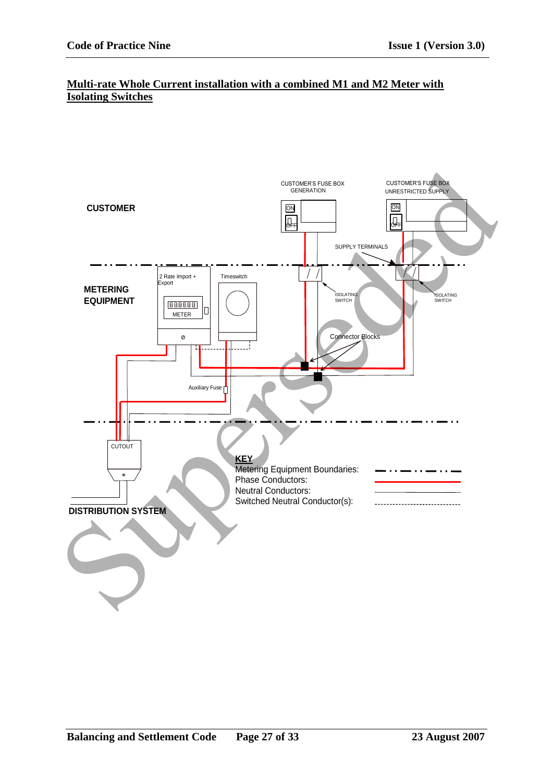### **Multi-rate Whole Current installation with a combined M1 and M2 Meter with Isolating Switches**

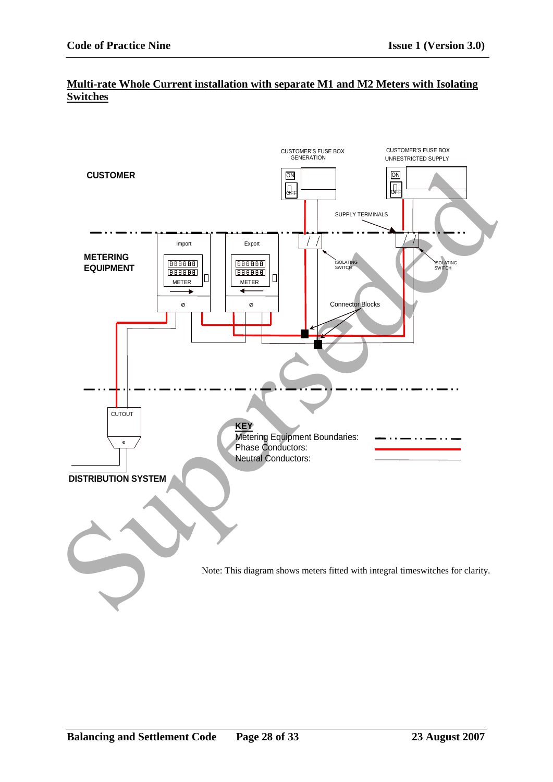### **Multi-rate Whole Current installation with separate M1 and M2 Meters with Isolating Switches**

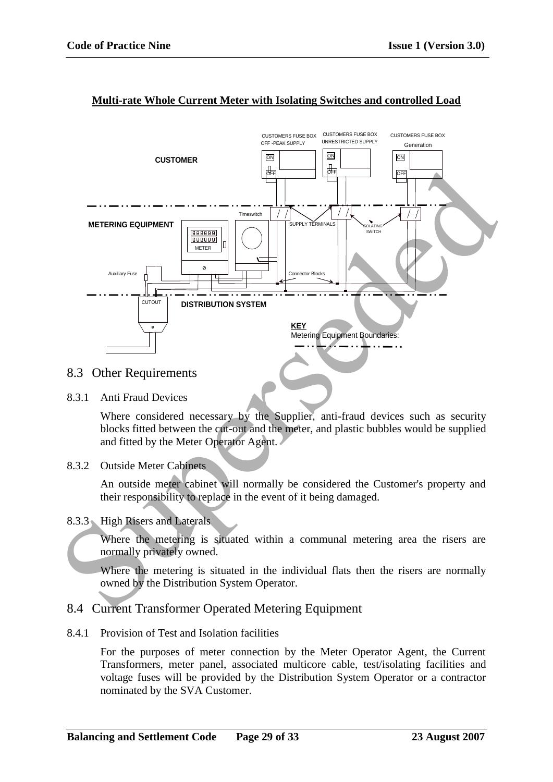

## **Multi-rate Whole Current Meter with Isolating Switches and controlled Load**

## 8.3 Other Requirements

8.3.1 Anti Fraud Devices

Where considered necessary by the Supplier, anti-fraud devices such as security blocks fitted between the cut-out and the meter, and plastic bubbles would be supplied and fitted by the Meter Operator Agent.

8.3.2 Outside Meter Cabinets

An outside meter cabinet will normally be considered the Customer's property and their responsibility to replace in the event of it being damaged.

### 8.3.3 High Risers and Laterals

Where the metering is situated within a communal metering area the risers are normally privately owned.

Where the metering is situated in the individual flats then the risers are normally owned by the Distribution System Operator.

## 8.4 Current Transformer Operated Metering Equipment

8.4.1 Provision of Test and Isolation facilities

For the purposes of meter connection by the Meter Operator Agent, the Current Transformers, meter panel, associated multicore cable, test/isolating facilities and voltage fuses will be provided by the Distribution System Operator or a contractor nominated by the SVA Customer.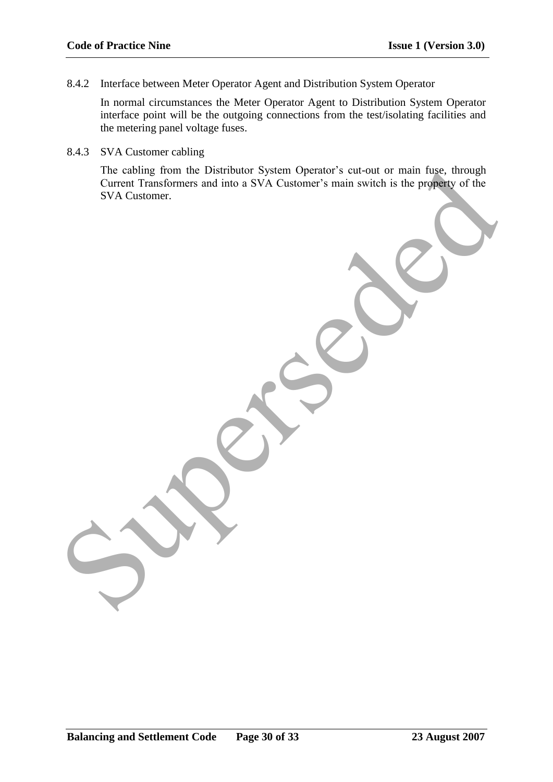8.4.2 Interface between Meter Operator Agent and Distribution System Operator

In normal circumstances the Meter Operator Agent to Distribution System Operator interface point will be the outgoing connections from the test/isolating facilities and the metering panel voltage fuses.

8.4.3 SVA Customer cabling

The cabling from the Distributor System Operator's cut-out or main fuse, through Current Transformers and into a SVA Customer"s main switch is the property of the SVA Customer.

The cabing from the Distributor System Operator's cut-out or main fruse, through of the Current Transionners and into a SVA Customer's main switch is the property of the SVA Customer.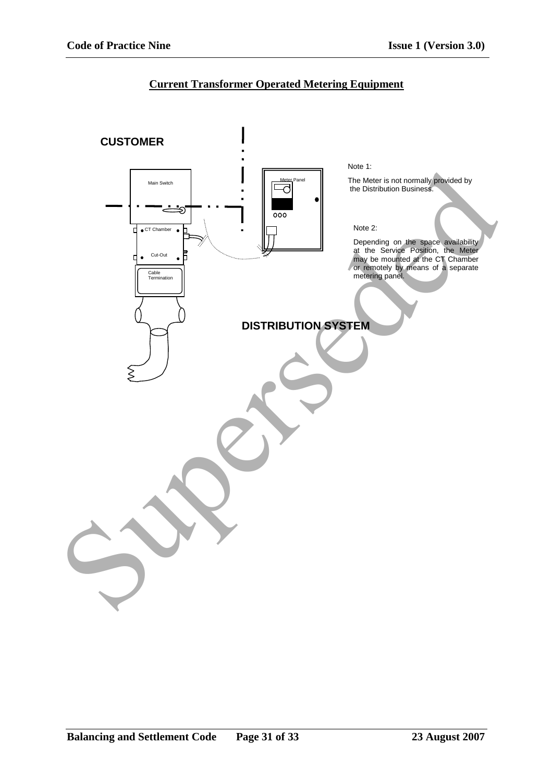## **Current Transformer Operated Metering Equipment**

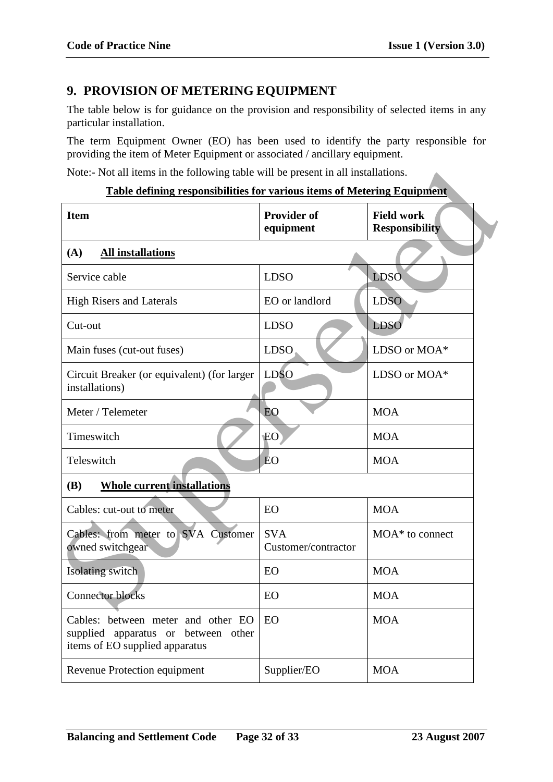# **9. PROVISION OF METERING EQUIPMENT**

The table below is for guidance on the provision and responsibility of selected items in any particular installation.

The term Equipment Owner (EO) has been used to identify the party responsible for providing the item of Meter Equipment or associated / ancillary equipment.

#### **Table defining responsibilities for various items of Metering Equipment**

| Note:- Not all items in the following table will be present in all installations.                           |                                   |                                            |  |  |  |
|-------------------------------------------------------------------------------------------------------------|-----------------------------------|--------------------------------------------|--|--|--|
| <b>Table defining responsibilities for various items of Metering Equipment</b>                              |                                   |                                            |  |  |  |
| <b>Item</b>                                                                                                 | <b>Provider of</b><br>equipment   | <b>Field work</b><br><b>Responsibility</b> |  |  |  |
| (A)<br><b>All installations</b>                                                                             |                                   |                                            |  |  |  |
| Service cable                                                                                               | <b>LDSO</b>                       | <b>LDSO</b>                                |  |  |  |
| <b>High Risers and Laterals</b>                                                                             | EO or landlord                    | <b>LDSO</b>                                |  |  |  |
| Cut-out                                                                                                     | <b>LDSO</b>                       | <b>LDSO</b>                                |  |  |  |
| Main fuses (cut-out fuses)                                                                                  | <b>LDSO</b>                       | LDSO or MOA*                               |  |  |  |
| Circuit Breaker (or equivalent) (for larger<br>installations)                                               | <b>LDSO</b>                       | LDSO or MOA*                               |  |  |  |
| Meter / Telemeter                                                                                           | EO                                | <b>MOA</b>                                 |  |  |  |
| Timeswitch                                                                                                  | EO                                | <b>MOA</b>                                 |  |  |  |
| Teleswitch                                                                                                  | EO                                | <b>MOA</b>                                 |  |  |  |
| <b>Whole current installations</b><br><b>(B)</b>                                                            |                                   |                                            |  |  |  |
| Cables: cut-out to meter                                                                                    | EO                                | <b>MOA</b>                                 |  |  |  |
| Cables: from meter to SVA Customer<br>owned switchgear                                                      | <b>SVA</b><br>Customer/contractor | $MOA^*$ to connect                         |  |  |  |
| Isolating switch                                                                                            | EO                                | <b>MOA</b>                                 |  |  |  |
| <b>Connector blocks</b>                                                                                     | EO                                | <b>MOA</b>                                 |  |  |  |
| Cables: between meter and other EO<br>supplied apparatus or between other<br>items of EO supplied apparatus | EO                                | <b>MOA</b>                                 |  |  |  |
| <b>Revenue Protection equipment</b>                                                                         | Supplier/EO                       | <b>MOA</b>                                 |  |  |  |